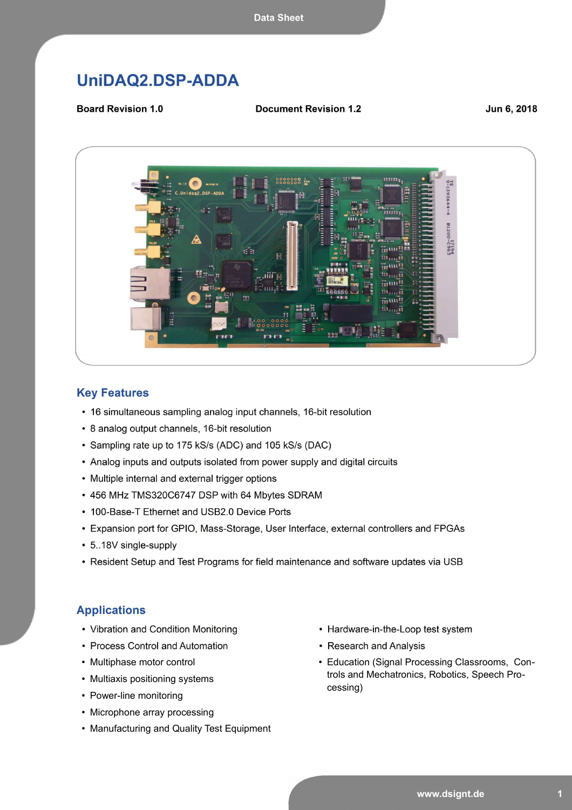# UniDAQ2.DSP-ADDA

**Board Revision 1.0** 

**Document Revision 1.2** 

Jun 6, 2018



#### **Key Features**

- 16 simultaneous sampling analog input channels, 16-bit resolution
- 8 analog output channels, 16-bit resolution
- Sampling rate up to 175 kS/s (ADC) and 105 kS/s (DAC)
- Analog inputs and outputs isolated from power supply and digital circuits
- Multiple internal and external trigger options
- 456 MHz TMS320C6747 DSP with 64 Mbytes SDRAM
- 100-Base-T Ethernet and USB2.0 Device Ports
- Expansion port for GPIO, Mass-Storage, User Interface, external controllers and FPGAs
- 5..18V single-supply
- Resident Setup and Test Programs for field maintenance and software updates via USB

#### **Applications**

- Vibration and Condition Monitoring
- Process Control and Automation
- Multiphase motor control
- Multiaxis positioning systems
- Power-line monitoring
- Microphone array processing
- Manufacturing and Quality Test Equipment
- Hardware-in-the-Loop test system
- Research and Analysis
- Education (Signal Processing Classrooms, Controls and Mechatronics, Robotics, Speech Processing)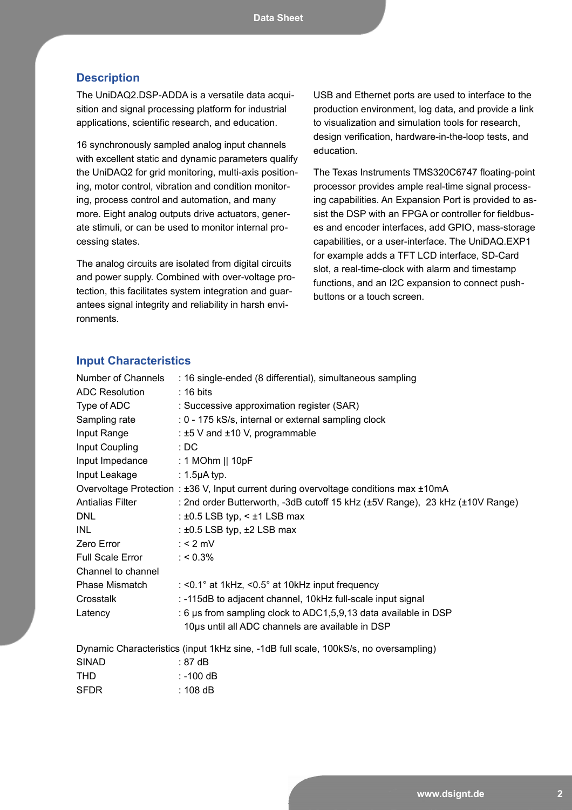#### **Description**

The UniDAQ2.DSP-ADDA is a versatile data acquisition and signal processing platform for industrial applications, scientific research, and education.

16 synchronously sampled analog input channels with excellent static and dynamic parameters qualify the UniDAQ2 for grid monitoring, multi-axis positioning, motor control, vibration and condition monitoring, process control and automation, and many more. Eight analog outputs drive actuators, generate stimuli, or can be used to monitor internal processing states.

The analog circuits are isolated from digital circuits and power supply. Combined with over-voltage protection, this facilitates system integration and guarantees signal integrity and reliability in harsh environments.

USB and Ethernet ports are used to interface to the production environment, log data, and provide a link to visualization and simulation tools for research, design verification, hardware-in-the-loop tests, and education.

The Texas Instruments TMS320C6747 floating-point processor provides ample real-time signal processing capabilities. An Expansion Port is provided to assist the DSP with an FPGA or controller for fieldbuses and encoder interfaces, add GPIO, mass-storage capabilities, or a user-interface. The UniDAQ.EXP1 for example adds a TFT LCD interface, SD-Card slot, a real-time-clock with alarm and timestamp functions, and an I2C expansion to connect pushbuttons or a touch screen.

#### **Input Characteristics**

| Number of Channels               | : 16 single-ended (8 differential), simultaneous sampling                             |
|----------------------------------|---------------------------------------------------------------------------------------|
| <b>ADC Resolution</b>            | $: 16 \text{ bits}$                                                                   |
| Type of ADC                      | : Successive approximation register (SAR)                                             |
| Sampling rate                    | : 0 - 175 kS/s, internal or external sampling clock                                   |
| Input Range                      | : ±5 V and ±10 V, programmable                                                        |
| Input Coupling                   | : DC                                                                                  |
| Input Impedance : 1 MOhm    10pF |                                                                                       |
| Input Leakage                    | $: 1.5$ µA typ.                                                                       |
|                                  | Overvoltage Protection : ±36 V, Input current during overvoltage conditions max ±10mA |
| <b>Antialias Filter</b>          | : 2nd order Butterworth, -3dB cutoff 15 kHz (±5V Range), 23 kHz (±10V Range)          |
| DNL                              | : $\pm 0.5$ LSB typ, < $\pm 1$ LSB max                                                |
| INL                              | : $\pm 0.5$ LSB typ, $\pm 2$ LSB max                                                  |
| Zero Error                       | : $<$ 2 mV                                                                            |
| Full Scale Error : < 0.3%        |                                                                                       |
| Channel to channel               |                                                                                       |
| <b>Phase Mismatch</b>            | : $<$ 0.1 $^{\circ}$ at 1kHz, $<$ 0.5 $^{\circ}$ at 10kHz input frequency             |
| Crosstalk                        | : -115dB to adjacent channel, 10kHz full-scale input signal                           |
| Latency                          | : 6 µs from sampling clock to ADC1,5,9,13 data available in DSP                       |
|                                  | 10µs until all ADC channels are available in DSP                                      |
|                                  |                                                                                       |

Dynamic Characteristics (input 1kHz sine, -1dB full scale, 100kS/s, no oversampling) SINAD : 87 dB THD : -100 dB SFDR : 108 dB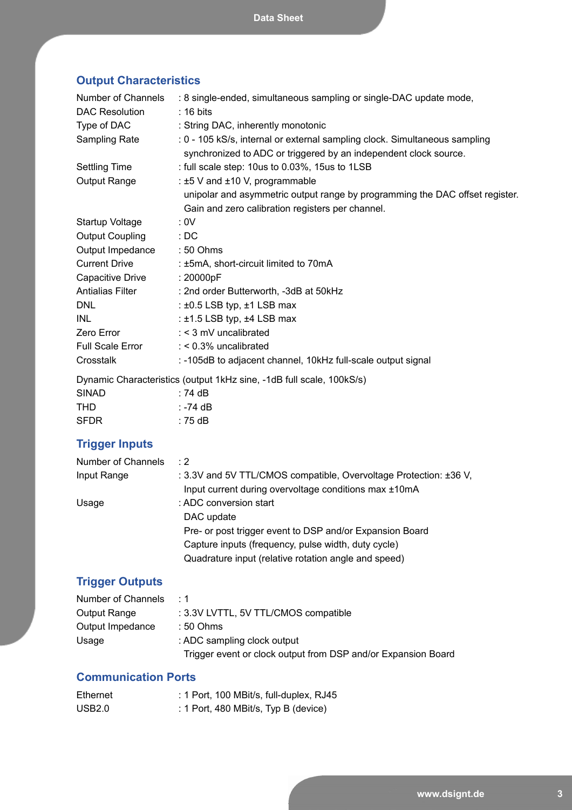# **Output Characteristics**

| Number of Channels                            | : 8 single-ended, simultaneous sampling or single-DAC update mode,                                                                             |
|-----------------------------------------------|------------------------------------------------------------------------------------------------------------------------------------------------|
| <b>DAC Resolution</b>                         | $: 16 \text{ bits}$                                                                                                                            |
| Type of DAC                                   | : String DAC, inherently monotonic                                                                                                             |
| Sampling Rate                                 | : 0 - 105 kS/s, internal or external sampling clock. Simultaneous sampling<br>synchronized to ADC or triggered by an independent clock source. |
| Settling Time                                 | : full scale step: 10us to 0.03%, 15us to 1LSB                                                                                                 |
| Output Range                                  | : $\pm 5$ V and $\pm 10$ V, programmable                                                                                                       |
|                                               | unipolar and asymmetric output range by programming the DAC offset register.                                                                   |
|                                               | Gain and zero calibration registers per channel.                                                                                               |
| Startup Voltage                               | : 0V                                                                                                                                           |
| <b>Output Coupling</b>                        | :DC                                                                                                                                            |
| Output Impedance                              | $:50$ Ohms                                                                                                                                     |
| <b>Current Drive</b>                          | : ±5mA, short-circuit limited to 70mA                                                                                                          |
| Capacitive Drive                              | : 20000pF                                                                                                                                      |
| <b>Antialias Filter</b>                       | : 2nd order Butterworth, -3dB at 50kHz                                                                                                         |
| <b>DNL</b>                                    | : $\pm 0.5$ LSB typ, $\pm 1$ LSB max                                                                                                           |
| INL                                           | : $\pm$ 1.5 LSB typ, $\pm$ 4 LSB max                                                                                                           |
| Zero Error                                    | : < 3 mV uncalibrated                                                                                                                          |
| <b>Full Scale Error</b>                       | $:$ < 0.3% uncalibrated                                                                                                                        |
| Crosstalk                                     | : -105dB to adjacent channel, 10kHz full-scale output signal                                                                                   |
|                                               | Dynamic Characteristics (output 1kHz sine, -1dB full scale, 100kS/s)                                                                           |
| CININD<br>$\overline{71}$ and $\overline{71}$ |                                                                                                                                                |

| <b>SINAD</b> | : 74 dB  |
|--------------|----------|
| THD          | ∶ -74 dB |
| <b>SFDR</b>  | : 75 dB  |

# **Trigger Inputs**

| Number of Channels | $\cdot$ 2                                                         |
|--------------------|-------------------------------------------------------------------|
| Input Range        | : 3.3V and 5V TTL/CMOS compatible, Overvoltage Protection: ±36 V, |
|                    | Input current during overvoltage conditions max ±10mA             |
| Usage              | : ADC conversion start                                            |
|                    | DAC update                                                        |
|                    | Pre- or post trigger event to DSP and/or Expansion Board          |
|                    | Capture inputs (frequency, pulse width, duty cycle)               |
|                    | Quadrature input (relative rotation angle and speed)              |

# **Trigger Outputs**

| Number of Channels | $\cdot$ 1                                                     |
|--------------------|---------------------------------------------------------------|
| Output Range       | : 3.3V LVTTL, 5V TTL/CMOS compatible                          |
| Output Impedance   | $:50$ Ohms                                                    |
| Usage              | : ADC sampling clock output                                   |
|                    | Trigger event or clock output from DSP and/or Expansion Board |

## **Communication Ports**

| Ethernet | : 1 Port, 100 MBit/s, full-duplex, RJ45 |
|----------|-----------------------------------------|
| USB2.0   | : 1 Port, 480 MBit/s, Typ B (device)    |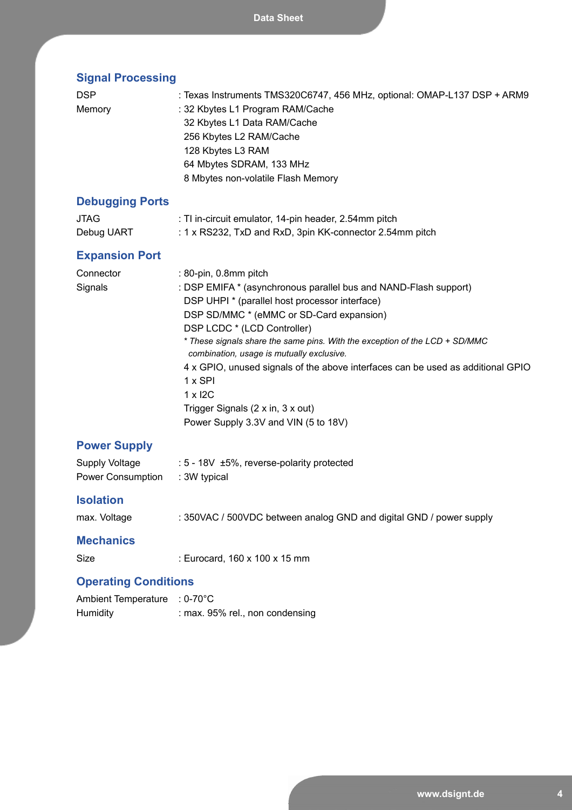| <b>Signal Processing</b>                   |                                                                                                                                                                                                                                                                                                                                                                                                                                                                                                                                                 |  |
|--------------------------------------------|-------------------------------------------------------------------------------------------------------------------------------------------------------------------------------------------------------------------------------------------------------------------------------------------------------------------------------------------------------------------------------------------------------------------------------------------------------------------------------------------------------------------------------------------------|--|
| <b>DSP</b><br>Memory                       | : Texas Instruments TMS320C6747, 456 MHz, optional: OMAP-L137 DSP + ARM9<br>: 32 Kbytes L1 Program RAM/Cache<br>32 Kbytes L1 Data RAM/Cache<br>256 Kbytes L2 RAM/Cache<br>128 Kbytes L3 RAM<br>64 Mbytes SDRAM, 133 MHz<br>8 Mbytes non-volatile Flash Memory                                                                                                                                                                                                                                                                                   |  |
| <b>Debugging Ports</b>                     |                                                                                                                                                                                                                                                                                                                                                                                                                                                                                                                                                 |  |
| <b>JTAG</b><br>Debug UART                  | : TI in-circuit emulator, 14-pin header, 2.54mm pitch<br>: 1 x RS232, TxD and RxD, 3pin KK-connector 2.54mm pitch                                                                                                                                                                                                                                                                                                                                                                                                                               |  |
| <b>Expansion Port</b>                      |                                                                                                                                                                                                                                                                                                                                                                                                                                                                                                                                                 |  |
| Connector<br>Signals                       | : 80-pin, 0.8mm pitch<br>: DSP EMIFA * (asynchronous parallel bus and NAND-Flash support)<br>DSP UHPI * (parallel host processor interface)<br>DSP SD/MMC * (eMMC or SD-Card expansion)<br>DSP LCDC * (LCD Controller)<br>* These signals share the same pins. With the exception of the LCD + SD/MMC<br>combination, usage is mutually exclusive.<br>4 x GPIO, unused signals of the above interfaces can be used as additional GPIO<br>1 x SPI<br>$1 \times 12C$<br>Trigger Signals (2 x in, 3 x out)<br>Power Supply 3.3V and VIN (5 to 18V) |  |
| <b>Power Supply</b>                        |                                                                                                                                                                                                                                                                                                                                                                                                                                                                                                                                                 |  |
| <b>Supply Voltage</b><br>Power Consumption | : 5 - 18V ±5%, reverse-polarity protected<br>: 3W typical                                                                                                                                                                                                                                                                                                                                                                                                                                                                                       |  |
| <b>Isolation</b>                           |                                                                                                                                                                                                                                                                                                                                                                                                                                                                                                                                                 |  |
| max. Voltage                               | : 350VAC / 500VDC between analog GND and digital GND / power supply                                                                                                                                                                                                                                                                                                                                                                                                                                                                             |  |
| <b>Mechanics</b>                           |                                                                                                                                                                                                                                                                                                                                                                                                                                                                                                                                                 |  |
| Size                                       | : Eurocard, 160 x 100 x 15 mm                                                                                                                                                                                                                                                                                                                                                                                                                                                                                                                   |  |
| <b>Operating Conditions</b>                |                                                                                                                                                                                                                                                                                                                                                                                                                                                                                                                                                 |  |
| Ambient Temperature : 0-70°C               |                                                                                                                                                                                                                                                                                                                                                                                                                                                                                                                                                 |  |

Humidity : max. 95% rel., non condensing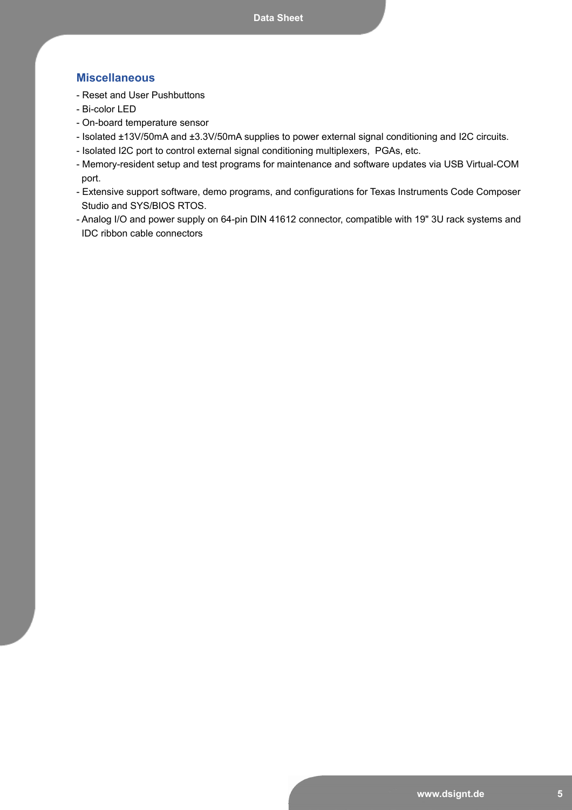## **Miscellaneous**

- Reset and User Pushbuttons
- Bi-color LED
- On-board temperature sensor
- Isolated ±13V/50mA and ±3.3V/50mA supplies to power external signal conditioning and I2C circuits.
- Isolated I2C port to control external signal conditioning multiplexers, PGAs, etc.
- Memory-resident setup and test programs for maintenance and software updates via USB Virtual-COM port.
- Extensive support software, demo programs, and configurations for Texas Instruments Code Composer Studio and SYS/BIOS RTOS.
- Analog I/O and power supply on 64-pin DIN 41612 connector, compatible with 19" 3U rack systems and IDC ribbon cable connectors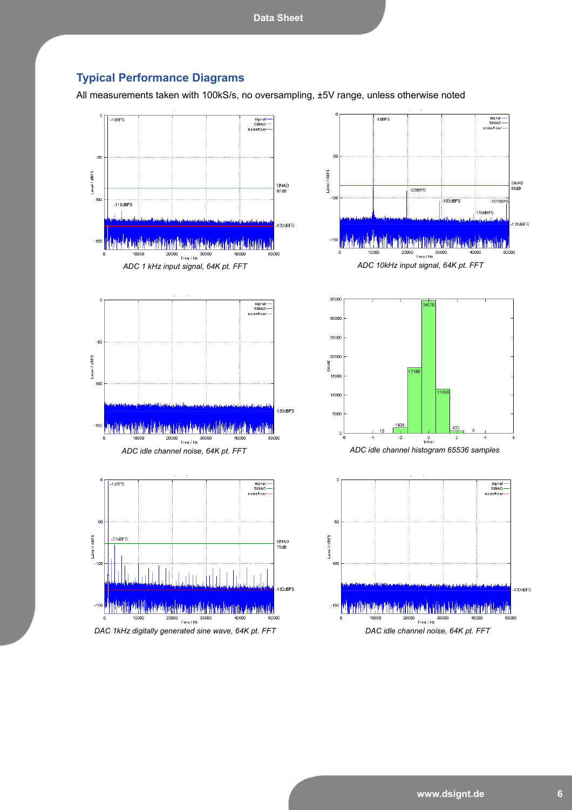## **Typical Performance Diagrams**

All measurements taken with 100kS/s, no oversampling, ±5V range, unless otherwise noted

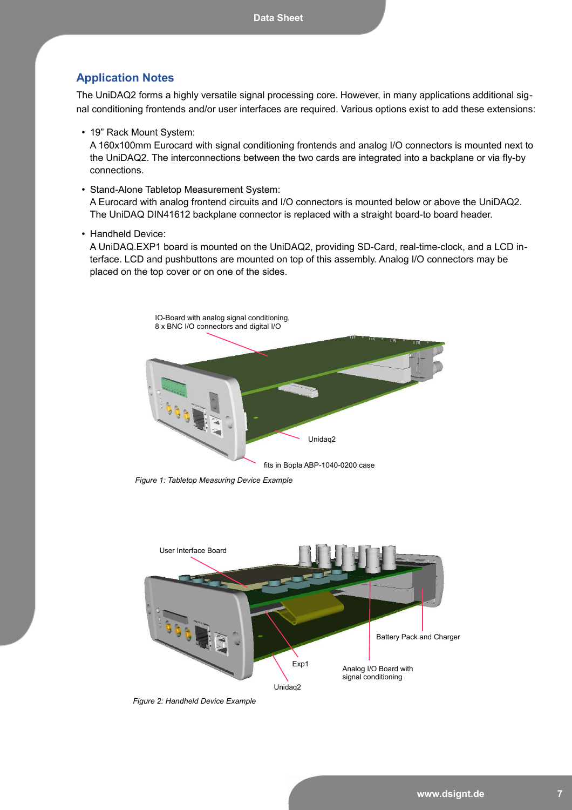### **Application Notes**

The UniDAQ2 forms a highly versatile signal processing core. However, in many applications additional signal conditioning frontends and/or user interfaces are required. Various options exist to add these extensions:

• 19" Rack Mount System:

A 160x100mm Eurocard with signal conditioning frontends and analog I/O connectors is mounted next to the UniDAQ2. The interconnections between the two cards are integrated into a backplane or via fly-by connections.

• Stand-Alone Tabletop Measurement System:

A Eurocard with analog frontend circuits and I/O connectors is mounted below or above the UniDAQ2. The UniDAQ DIN41612 backplane connector is replaced with a straight board-to board header.

• Handheld Device:

A UniDAQ.EXP1 board is mounted on the UniDAQ2, providing SD-Card, real-time-clock, and a LCD interface. LCD and pushbuttons are mounted on top of this assembly. Analog I/O connectors may be placed on the top cover or on one of the sides.



*Figure 1: Tabletop Measuring Device Example*



*Figure 2: Handheld Device Example*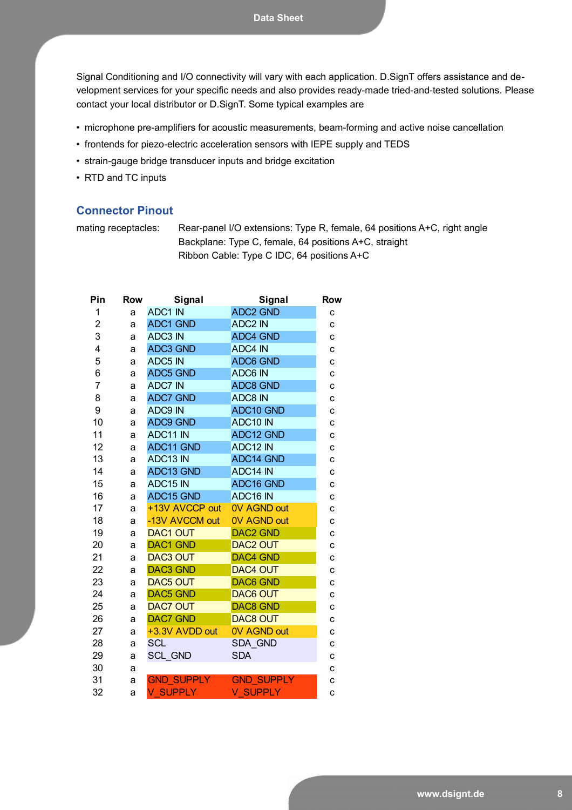**Data Sheet**

Signal Conditioning and I/O connectivity will vary with each application. D.SignT offers assistance and development services for your specific needs and also provides ready-made tried-and-tested solutions. Please contact your local distributor or D.SignT. Some typical examples are

- microphone pre-amplifiers for acoustic measurements, beam-forming and active noise cancellation
- frontends for piezo-electric acceleration sensors with IEPE supply and TEDS
- strain-gauge bridge transducer inputs and bridge excitation
- RTD and TC inputs

## **Connector Pinout**

mating receptacles: Rear-panel I/O extensions: Type R, female, 64 positions A+C, right angle Backplane: Type C, female, 64 positions A+C, straight Ribbon Cable: Type C IDC, 64 positions A+C

| Pin            | <b>Row</b> | Signal            | Signal                | <b>Row</b> |
|----------------|------------|-------------------|-----------------------|------------|
| 1              | a          | ADC1 IN           | <b>ADC2 GND</b>       | C          |
| $\overline{2}$ | a          | <b>ADC1 GND</b>   | <b>ADC2 IN</b>        | C          |
| 3              | a          | <b>ADC3 IN</b>    | <b>ADC4 GND</b>       | C          |
| 4              | a          | <b>ADC3 GND</b>   | <b>ADC4 IN</b>        | C          |
| 5              | a          | <b>ADC5 IN</b>    | <b>ADC6 GND</b>       | C          |
| 6              | a          | <b>ADC5 GND</b>   | ADC6 IN               | C          |
| 7              | a          | <b>ADC7 IN</b>    | <b>ADC8 GND</b>       | c          |
| 8              | a          | <b>ADC7 GND</b>   | ADC8 IN               | C          |
| 9              | a          | ADC9 IN           | ADC10 GND             | c          |
| 10             | a          | <b>ADC9 GND</b>   | ADC10 IN              | C          |
| 11             | a          | ADC11 IN          | ADC12 GND             | C          |
| 12             | a          | ADC11 GND         | ADC12 IN              | C          |
| 13             | a          | ADC13 IN          | <b>ADC14 GND</b>      | C          |
| 14             | a          | ADC13 GND         | ADC14 IN              | c          |
| 15             | a          | ADC15 IN          | ADC <sub>16</sub> GND | C          |
| 16             | a          | ADC15 GND         | ADC16 IN              | C          |
| 17             | a          | +13V AVCCP out    | <b>OV AGND out</b>    | c          |
| 18             | a          | -13V AVCCM out    | <b>OV AGND out</b>    | C          |
| 19             | a          | <b>DAC1 OUT</b>   | <b>DAC2 GND</b>       | C          |
| 20             | a          | <b>DAC1 GND</b>   | <b>DAC2 OUT</b>       | C          |
| 21             | a          | <b>DAC3 OUT</b>   | <b>DAC4 GND</b>       | c          |
| 22             | a          | <b>DAC3 GND</b>   | <b>DAC4 OUT</b>       | C          |
| 23             | a          | <b>DAC5 OUT</b>   | <b>DAC6 GND</b>       | C          |
| 24             | a          | <b>DAC5 GND</b>   | <b>DAC6 OUT</b>       | C          |
| 25             | a          | <b>DAC7 OUT</b>   | <b>DAC8 GND</b>       | C          |
| 26             | a          | <b>DAC7 GND</b>   | <b>DAC8 OUT</b>       | C          |
| 27             | a          | +3.3V AVDD out    | <b>OV AGND out</b>    | C          |
| 28             | a          | <b>SCL</b>        | <b>SDA GND</b>        | C          |
| 29             | a          | <b>SCL GND</b>    | <b>SDA</b>            | C          |
| 30             | a          |                   |                       | C          |
| 31             | a          | <b>GND SUPPLY</b> | <b>GND SUPPLY</b>     | с          |
| 32             | a          | <b>V SUPPLY</b>   | <b>V SUPPLY</b>       | C          |
|                |            |                   |                       |            |